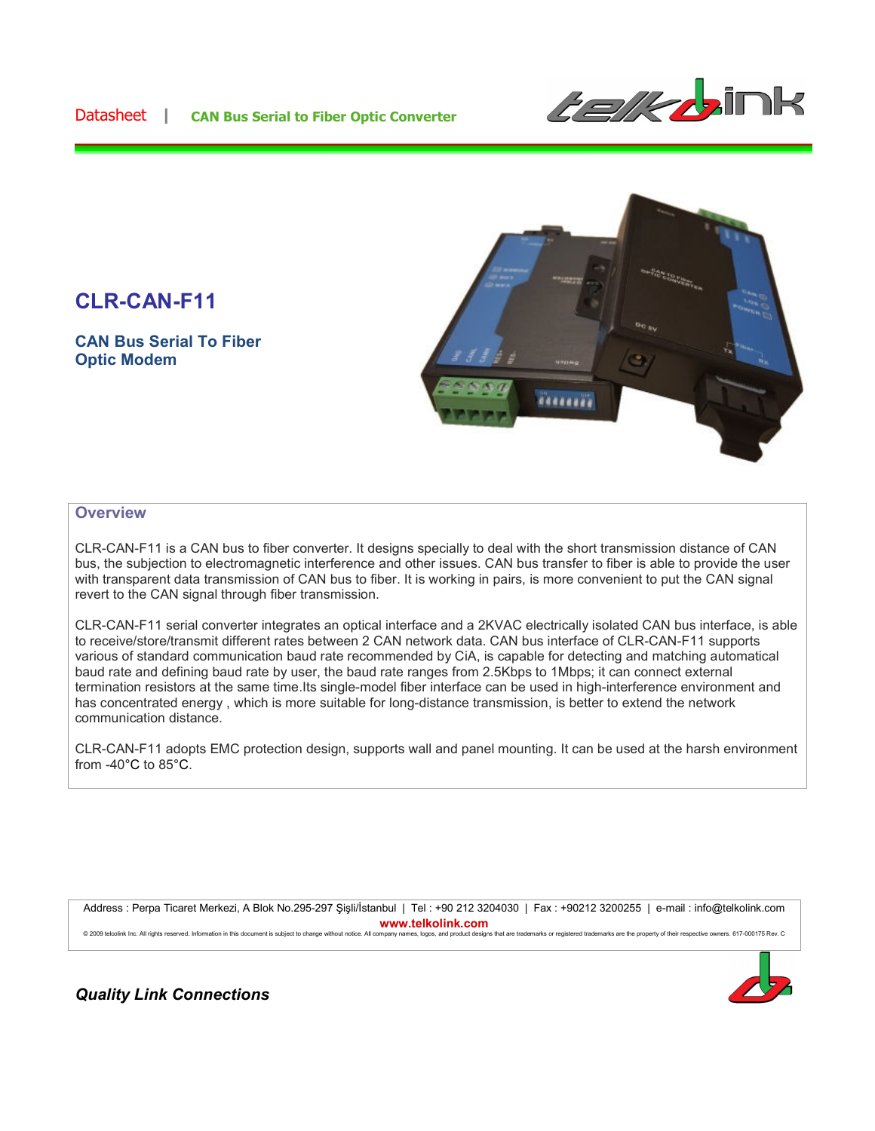## Datasheet **| CAN Bus Serial to Fiber Optic Converter**



# **CLR-CAN-F11**

**CAN Bus Serial To Fiber Optic Modem**



#### **Overview**

CLR-CAN-F11 is a CAN bus to fiber converter. It designs specially to deal with the short transmission distance of CAN bus, the subjection to electromagnetic interference and other issues. CAN bus transfer to fiber is able to provide the user with transparent data transmission of CAN bus to fiber. It is working in pairs, is more convenient to put the CAN signal revert to the CAN signal through fiber transmission.

CLR-CAN-F11 serial converter integrates an optical interface and a 2KVAC electrically isolated CAN bus interface, is able to receive/store/transmit different rates between 2 CAN network data. CAN bus interface of CLR-CAN-F11 supports various of standard communication baud rate recommended by CiA, is capable for detecting and matching automatical baud rate and defining baud rate by user, the baud rate ranges from 2.5Kbps to 1Mbps; it can connect external termination resistors at the same time.Its single-model fiber interface can be used in high-interference environment and has concentrated energy , which is more suitable for long-distance transmission, is better to extend the network communication distance.

CLR-CAN-F11 adopts EMC protection design, supports wall and panel mounting. It can be used at the harsh environment from -40°C to 85°C.

Address : Perpa Ticaret Merkezi, A Blok No.295-297 Şişli/İstanbul | Tel : +90 212 3204030 | Fax : +90212 3200255 | e-mail : info@telkolink.com **www.telkolink.com** © 2009 telcolink Inc. All rights reserved. Information in this document is subject to change without notice. All company names, logos, and product designs that are trademarks or registered trademarks are the property of th



*Quality Link Connections*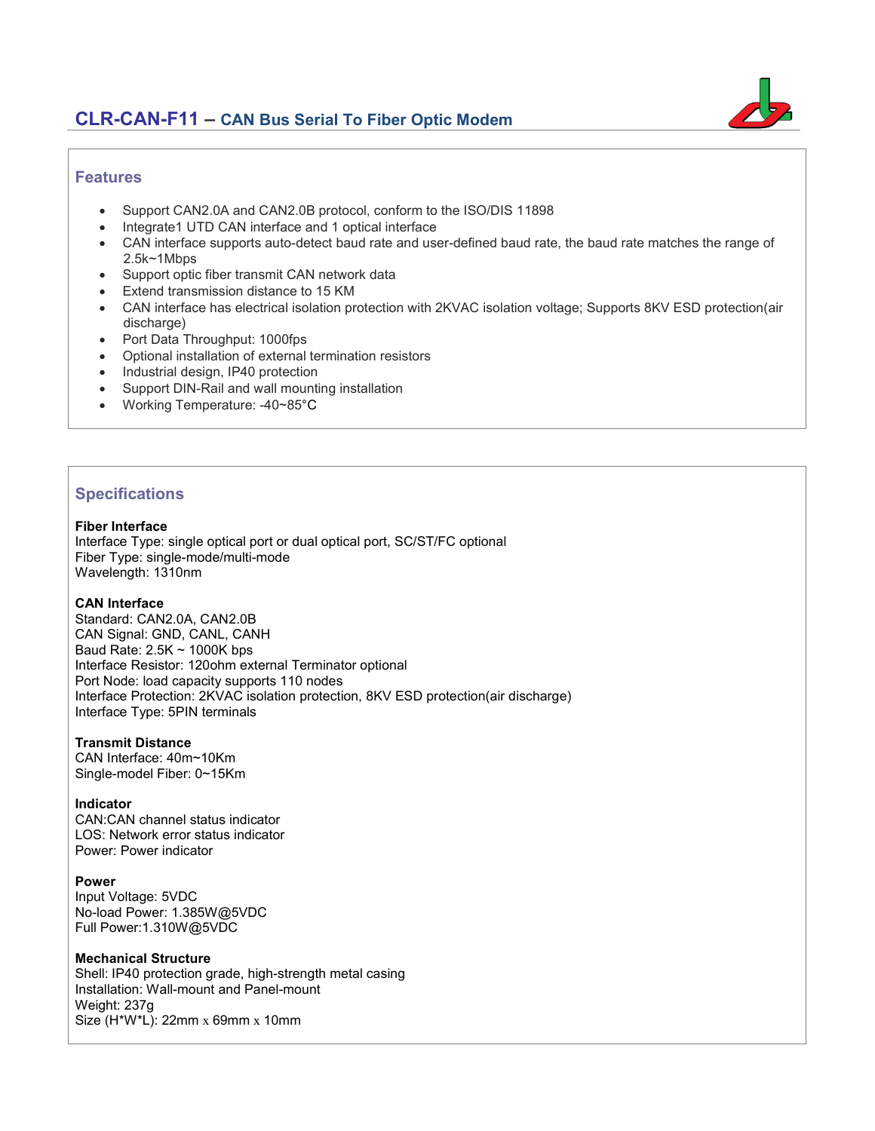## **CLR-CAN-F11 – CAN Bus Serial To Fiber Optic Modem**



### **Features**

- Support CAN2.0A and CAN2.0B protocol, conform to the ISO/DIS 11898
- Integrate1 UTD CAN interface and 1 optical interface
- CAN interface supports auto-detect baud rate and user-defined baud rate, the baud rate matches the range of 2.5k~1Mbps
- Support optic fiber transmit CAN network data
- Extend transmission distance to 15 KM
- CAN interface has electrical isolation protection with 2KVAC isolation voltage; Supports 8KV ESD protection(air discharge)
- Port Data Throughput: 1000fps
- Optional installation of external termination resistors
- Industrial design, IP40 protection
- Support DIN-Rail and wall mounting installation
- Working Temperature: -40~85°C

## **Specifications**

#### **Fiber Interface**

Interface Type: single optical port or dual optical port, SC/ST/FC optional Fiber Type: single-mode/multi-mode Wavelength: 1310nm

#### **CAN Interface**

Standard: CAN2.0A, CAN2.0B CAN Signal: GND, CANL, CANH Baud Rate: 2.5K ~ 1000K bps Interface Resistor: 120ohm external Terminator optional Port Node: load capacity supports 110 nodes Interface Protection: 2KVAC isolation protection, 8KV ESD protection(air discharge) Interface Type: 5PIN terminals

#### **Transmit Distance**

CAN Interface: 40m~10Km Single-model Fiber: 0~15Km

#### **Indicator**

CAN:CAN channel status indicator LOS: Network error status indicator Power: Power indicator

#### **Power**

Input Voltage: 5VDC No-load Power: 1.385W@5VDC Full Power:1.310W@5VDC

#### **Mechanical Structure**

Shell: IP40 protection grade, high-strength metal casing Installation: Wall-mount and Panel-mount Weight: 237g Size (H\*W\*L): 22mm x 69mm x 10mm